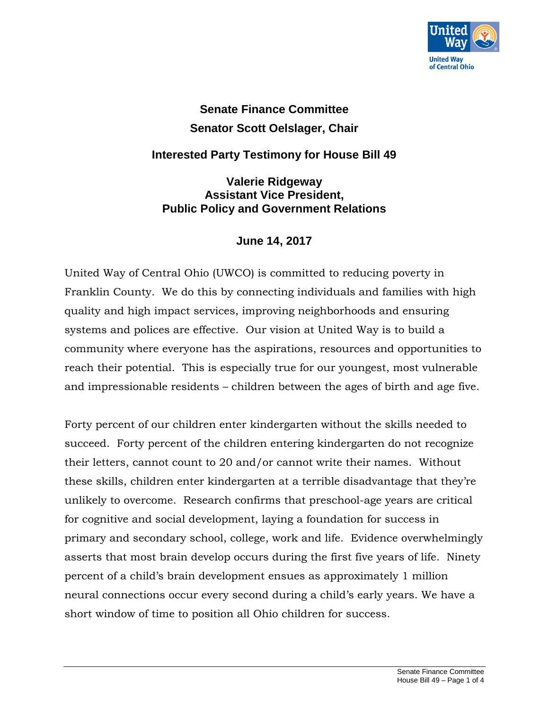

## **Senate Finance Committee Senator Scott Oelslager, Chair**

## **Interested Party Testimony for House Bill 49**

**Valerie Ridgeway Assistant Vice President, Public Policy and Government Relations**

## **June 14, 2017**

United Way of Central Ohio (UWCO) is committed to reducing poverty in Franklin County. We do this by connecting individuals and families with high quality and high impact services, improving neighborhoods and ensuring systems and polices are effective. Our vision at United Way is to build a community where everyone has the aspirations, resources and opportunities to reach their potential. This is especially true for our youngest, most vulnerable and impressionable residents – children between the ages of birth and age five.

Forty percent of our children enter kindergarten without the skills needed to succeed. Forty percent of the children entering kindergarten do not recognize their letters, cannot count to 20 and/or cannot write their names. Without these skills, children enter kindergarten at a terrible disadvantage that they're unlikely to overcome. Research confirms that preschool-age years are critical for cognitive and social development, laying a foundation for success in primary and secondary school, college, work and life. Evidence overwhelmingly asserts that most brain develop occurs during the first five years of life. Ninety percent of a child's brain development ensues as approximately 1 million neural connections occur every second during a child's early years. We have a short window of time to position all Ohio children for success.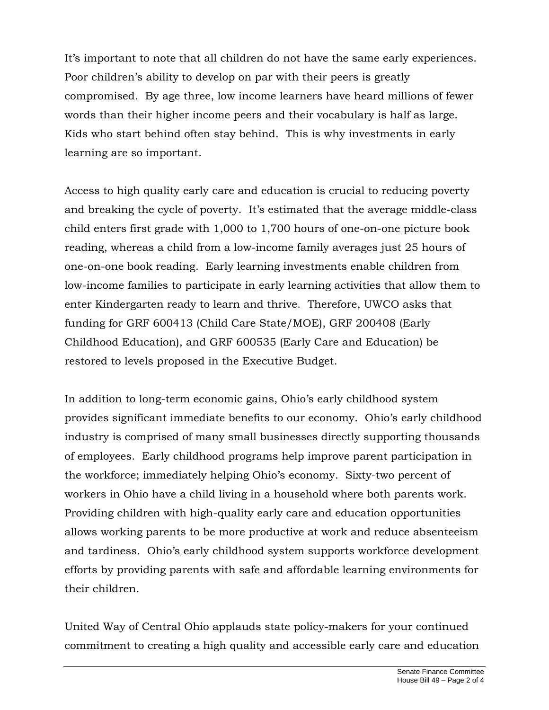It's important to note that all children do not have the same early experiences. Poor children's ability to develop on par with their peers is greatly compromised. By age three, low income learners have heard millions of fewer words than their higher income peers and their vocabulary is half as large. Kids who start behind often stay behind. This is why investments in early learning are so important.

Access to high quality early care and education is crucial to reducing poverty and breaking the cycle of poverty. It's estimated that the average middle-class child enters first grade with 1,000 to 1,700 hours of one-on-one picture book reading, whereas a child from a low-income family averages just 25 hours of one-on-one book reading. Early learning investments enable children from low-income families to participate in early learning activities that allow them to enter Kindergarten ready to learn and thrive. Therefore, UWCO asks that funding for GRF 600413 (Child Care State/MOE), GRF 200408 (Early Childhood Education), and GRF 600535 (Early Care and Education) be restored to levels proposed in the Executive Budget.

In addition to long-term economic gains, Ohio's early childhood system provides significant immediate benefits to our economy. Ohio's early childhood industry is comprised of many small businesses directly supporting thousands of employees. Early childhood programs help improve parent participation in the workforce; immediately helping Ohio's economy. Sixty-two percent of workers in Ohio have a child living in a household where both parents work. Providing children with high-quality early care and education opportunities allows working parents to be more productive at work and reduce absenteeism and tardiness. Ohio's early childhood system supports workforce development efforts by providing parents with safe and affordable learning environments for their children.

United Way of Central Ohio applauds state policy-makers for your continued commitment to creating a high quality and accessible early care and education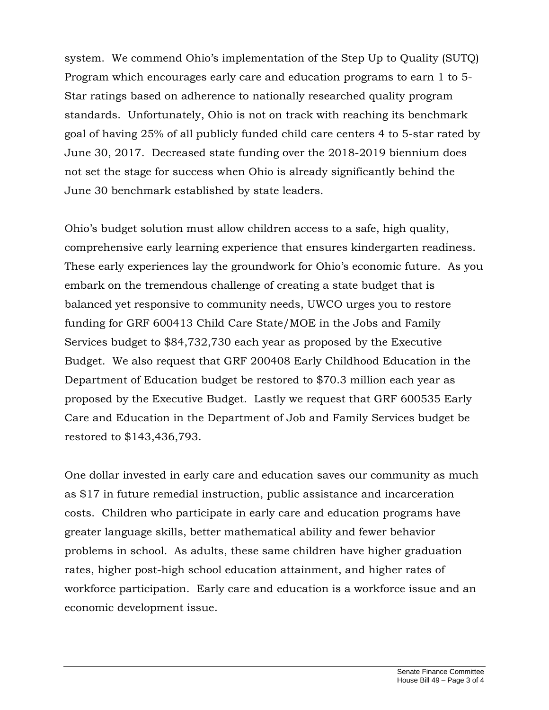system. We commend Ohio's implementation of the Step Up to Quality (SUTQ) Program which encourages early care and education programs to earn 1 to 5- Star ratings based on adherence to nationally researched quality program standards. Unfortunately, Ohio is not on track with reaching its benchmark goal of having 25% of all publicly funded child care centers 4 to 5-star rated by June 30, 2017. Decreased state funding over the 2018-2019 biennium does not set the stage for success when Ohio is already significantly behind the June 30 benchmark established by state leaders.

Ohio's budget solution must allow children access to a safe, high quality, comprehensive early learning experience that ensures kindergarten readiness. These early experiences lay the groundwork for Ohio's economic future. As you embark on the tremendous challenge of creating a state budget that is balanced yet responsive to community needs, UWCO urges you to restore funding for GRF 600413 Child Care State/MOE in the Jobs and Family Services budget to \$84,732,730 each year as proposed by the Executive Budget. We also request that GRF 200408 Early Childhood Education in the Department of Education budget be restored to \$70.3 million each year as proposed by the Executive Budget. Lastly we request that GRF 600535 Early Care and Education in the Department of Job and Family Services budget be restored to \$143,436,793.

One dollar invested in early care and education saves our community as much as \$17 in future remedial instruction, public assistance and incarceration costs. Children who participate in early care and education programs have greater language skills, better mathematical ability and fewer behavior problems in school. As adults, these same children have higher graduation rates, higher post-high school education attainment, and higher rates of workforce participation. Early care and education is a workforce issue and an economic development issue.